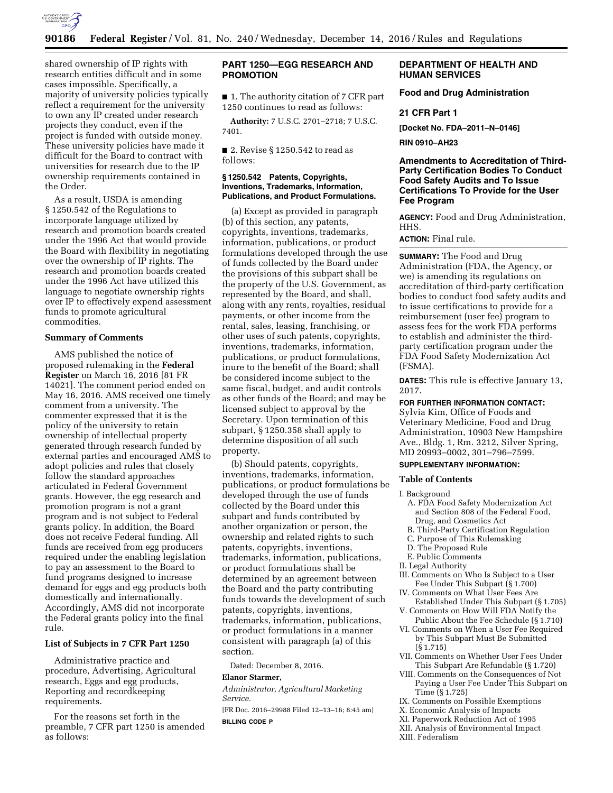

shared ownership of IP rights with research entities difficult and in some cases impossible. Specifically, a majority of university policies typically reflect a requirement for the university to own any IP created under research projects they conduct, even if the project is funded with outside money. These university policies have made it difficult for the Board to contract with universities for research due to the IP ownership requirements contained in the Order.

As a result, USDA is amending § 1250.542 of the Regulations to incorporate language utilized by research and promotion boards created under the 1996 Act that would provide the Board with flexibility in negotiating over the ownership of IP rights. The research and promotion boards created under the 1996 Act have utilized this language to negotiate ownership rights over IP to effectively expend assessment funds to promote agricultural commodities.

#### **Summary of Comments**

AMS published the notice of proposed rulemaking in the **Federal Register** on March 16, 2016 [81 FR 14021]. The comment period ended on May 16, 2016. AMS received one timely comment from a university. The commenter expressed that it is the policy of the university to retain ownership of intellectual property generated through research funded by external parties and encouraged AMS to adopt policies and rules that closely follow the standard approaches articulated in Federal Government grants. However, the egg research and promotion program is not a grant program and is not subject to Federal grants policy. In addition, the Board does not receive Federal funding. All funds are received from egg producers required under the enabling legislation to pay an assessment to the Board to fund programs designed to increase demand for eggs and egg products both domestically and internationally. Accordingly, AMS did not incorporate the Federal grants policy into the final rule.

### **List of Subjects in 7 CFR Part 1250**

Administrative practice and procedure, Advertising, Agricultural research, Eggs and egg products, Reporting and recordkeeping requirements.

For the reasons set forth in the preamble, 7 CFR part 1250 is amended as follows:

# **PART 1250—EGG RESEARCH AND PROMOTION**

■ 1. The authority citation of 7 CFR part 1250 continues to read as follows:

**Authority:** 7 U.S.C. 2701–2718; 7 U.S.C. 7401.

■ 2. Revise § 1250.542 to read as follows:

### **§ 1250.542 Patents, Copyrights, Inventions, Trademarks, Information, Publications, and Product Formulations.**

(a) Except as provided in paragraph (b) of this section, any patents, copyrights, inventions, trademarks, information, publications, or product formulations developed through the use of funds collected by the Board under the provisions of this subpart shall be the property of the U.S. Government, as represented by the Board, and shall, along with any rents, royalties, residual payments, or other income from the rental, sales, leasing, franchising, or other uses of such patents, copyrights, inventions, trademarks, information, publications, or product formulations, inure to the benefit of the Board; shall be considered income subject to the same fiscal, budget, and audit controls as other funds of the Board; and may be licensed subject to approval by the Secretary. Upon termination of this subpart, § 1250.358 shall apply to determine disposition of all such property.

(b) Should patents, copyrights, inventions, trademarks, information, publications, or product formulations be developed through the use of funds collected by the Board under this subpart and funds contributed by another organization or person, the ownership and related rights to such patents, copyrights, inventions, trademarks, information, publications, or product formulations shall be determined by an agreement between the Board and the party contributing funds towards the development of such patents, copyrights, inventions, trademarks, information, publications, or product formulations in a manner consistent with paragraph (a) of this section.

Dated: December 8, 2016.

#### **Elanor Starmer,**

*Administrator, Agricultural Marketing Service.* 

[FR Doc. 2016–29988 Filed 12–13–16; 8:45 am] **BILLING CODE P** 

# **DEPARTMENT OF HEALTH AND HUMAN SERVICES**

**Food and Drug Administration** 

#### **21 CFR Part 1**

**[Docket No. FDA–2011–N–0146]** 

**RIN 0910–AH23** 

## **Amendments to Accreditation of Third-Party Certification Bodies To Conduct Food Safety Audits and To Issue Certifications To Provide for the User Fee Program**

**AGENCY:** Food and Drug Administration, HHS.

**ACTION:** Final rule.

**SUMMARY:** The Food and Drug Administration (FDA, the Agency, or we) is amending its regulations on accreditation of third-party certification bodies to conduct food safety audits and to issue certifications to provide for a reimbursement (user fee) program to assess fees for the work FDA performs to establish and administer the thirdparty certification program under the FDA Food Safety Modernization Act (FSMA).

**DATES:** This rule is effective January 13, 2017.

# **FOR FURTHER INFORMATION CONTACT:**

Sylvia Kim, Office of Foods and Veterinary Medicine, Food and Drug Administration, 10903 New Hampshire Ave., Bldg. 1, Rm. 3212, Silver Spring, MD 20993–0002, 301–796–7599.

## **SUPPLEMENTARY INFORMATION:**

#### **Table of Contents**

#### I. Background

- A. FDA Food Safety Modernization Act and Section 808 of the Federal Food, Drug, and Cosmetics Act
- B. Third-Party Certification Regulation
- C. Purpose of This Rulemaking
- D. The Proposed Rule
- E. Public Comments
- II. Legal Authority
- III. Comments on Who Is Subject to a User Fee Under This Subpart (§ 1.700)
- IV. Comments on What User Fees Are Established Under This Subpart (§ 1.705)
- V. Comments on How Will FDA Notify the Public About the Fee Schedule (§ 1.710)
- VI. Comments on When a User Fee Required by This Subpart Must Be Submitted (§ 1.715)
- VII. Comments on Whether User Fees Under This Subpart Are Refundable (§ 1.720)
- VIII. Comments on the Consequences of Not Paying a User Fee Under This Subpart on Time (§ 1.725)
- IX. Comments on Possible Exemptions
- X. Economic Analysis of Impacts
- XI. Paperwork Reduction Act of 1995
- XII. Analysis of Environmental Impact
- XIII. Federalism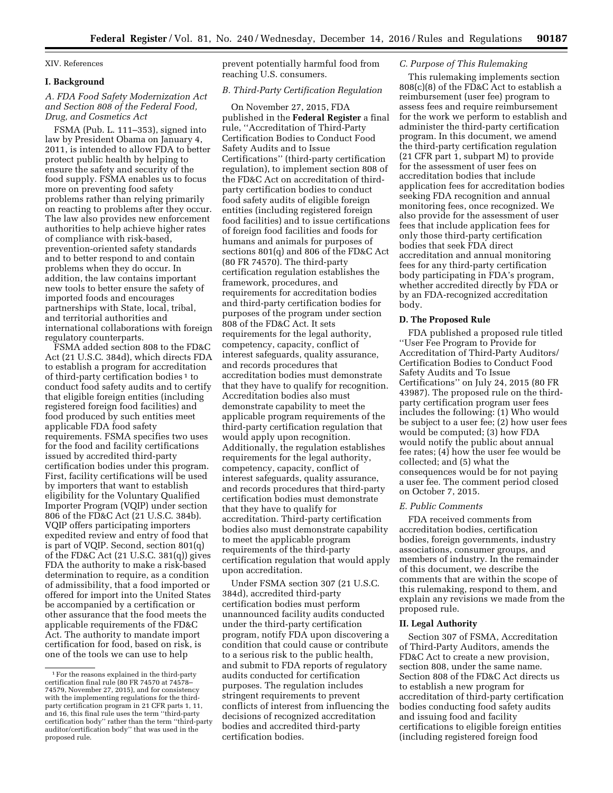#### XIV. References

#### **I. Background**

## *A. FDA Food Safety Modernization Act and Section 808 of the Federal Food, Drug, and Cosmetics Act*

FSMA (Pub. L. 111–353), signed into law by President Obama on January 4, 2011, is intended to allow FDA to better protect public health by helping to ensure the safety and security of the food supply. FSMA enables us to focus more on preventing food safety problems rather than relying primarily on reacting to problems after they occur. The law also provides new enforcement authorities to help achieve higher rates of compliance with risk-based, prevention-oriented safety standards and to better respond to and contain problems when they do occur. In addition, the law contains important new tools to better ensure the safety of imported foods and encourages partnerships with State, local, tribal, and territorial authorities and international collaborations with foreign regulatory counterparts.

FSMA added section 808 to the FD&C Act (21 U.S.C. 384d), which directs FDA to establish a program for accreditation of third-party certification bodies 1 to conduct food safety audits and to certify that eligible foreign entities (including registered foreign food facilities) and food produced by such entities meet applicable FDA food safety requirements. FSMA specifies two uses for the food and facility certifications issued by accredited third-party certification bodies under this program. First, facility certifications will be used by importers that want to establish eligibility for the Voluntary Qualified Importer Program (VQIP) under section 806 of the FD&C Act (21 U.S.C. 384b). VQIP offers participating importers expedited review and entry of food that is part of VQIP. Second, section 801(q) of the FD&C Act (21 U.S.C. 381(q)) gives FDA the authority to make a risk-based determination to require, as a condition of admissibility, that a food imported or offered for import into the United States be accompanied by a certification or other assurance that the food meets the applicable requirements of the FD&C Act. The authority to mandate import certification for food, based on risk, is one of the tools we can use to help

prevent potentially harmful food from reaching U.S. consumers.

### *B. Third-Party Certification Regulation*

On November 27, 2015, FDA published in the **Federal Register** a final rule, ''Accreditation of Third-Party Certification Bodies to Conduct Food Safety Audits and to Issue Certifications'' (third-party certification regulation), to implement section 808 of the FD&C Act on accreditation of thirdparty certification bodies to conduct food safety audits of eligible foreign entities (including registered foreign food facilities) and to issue certifications of foreign food facilities and foods for humans and animals for purposes of sections 801(q) and 806 of the FD&C Act (80 FR 74570). The third-party certification regulation establishes the framework, procedures, and requirements for accreditation bodies and third-party certification bodies for purposes of the program under section 808 of the FD&C Act. It sets requirements for the legal authority, competency, capacity, conflict of interest safeguards, quality assurance, and records procedures that accreditation bodies must demonstrate that they have to qualify for recognition. Accreditation bodies also must demonstrate capability to meet the applicable program requirements of the third-party certification regulation that would apply upon recognition. Additionally, the regulation establishes requirements for the legal authority, competency, capacity, conflict of interest safeguards, quality assurance, and records procedures that third-party certification bodies must demonstrate that they have to qualify for accreditation. Third-party certification bodies also must demonstrate capability to meet the applicable program requirements of the third-party certification regulation that would apply upon accreditation.

Under FSMA section 307 (21 U.S.C. 384d), accredited third-party certification bodies must perform unannounced facility audits conducted under the third-party certification program, notify FDA upon discovering a condition that could cause or contribute to a serious risk to the public health, and submit to FDA reports of regulatory audits conducted for certification purposes. The regulation includes stringent requirements to prevent conflicts of interest from influencing the decisions of recognized accreditation bodies and accredited third-party certification bodies.

### *C. Purpose of This Rulemaking*

This rulemaking implements section 808(c)(8) of the FD&C Act to establish a reimbursement (user fee) program to assess fees and require reimbursement for the work we perform to establish and administer the third-party certification program. In this document, we amend the third-party certification regulation (21 CFR part 1, subpart M) to provide for the assessment of user fees on accreditation bodies that include application fees for accreditation bodies seeking FDA recognition and annual monitoring fees, once recognized. We also provide for the assessment of user fees that include application fees for only those third-party certification bodies that seek FDA direct accreditation and annual monitoring fees for any third-party certification body participating in FDA's program, whether accredited directly by FDA or by an FDA-recognized accreditation body.

### **D. The Proposed Rule**

FDA published a proposed rule titled ''User Fee Program to Provide for Accreditation of Third-Party Auditors/ Certification Bodies to Conduct Food Safety Audits and To Issue Certifications'' on July 24, 2015 (80 FR 43987). The proposed rule on the thirdparty certification program user fees includes the following: (1) Who would be subject to a user fee; (2) how user fees would be computed; (3) how FDA would notify the public about annual fee rates; (4) how the user fee would be collected; and (5) what the consequences would be for not paying a user fee. The comment period closed on October 7, 2015.

### *E. Public Comments*

FDA received comments from accreditation bodies, certification bodies, foreign governments, industry associations, consumer groups, and members of industry. In the remainder of this document, we describe the comments that are within the scope of this rulemaking, respond to them, and explain any revisions we made from the proposed rule.

#### **II. Legal Authority**

Section 307 of FSMA, Accreditation of Third-Party Auditors, amends the FD&C Act to create a new provision, section 808, under the same name. Section 808 of the FD&C Act directs us to establish a new program for accreditation of third-party certification bodies conducting food safety audits and issuing food and facility certifications to eligible foreign entities (including registered foreign food

<sup>1</sup>For the reasons explained in the third-party certification final rule (80 FR 74570 at 74578– 74579, November 27, 2015), and for consistency with the implementing regulations for the thirdparty certification program in 21 CFR parts 1, 11, and 16, this final rule uses the term ''third-party certification body'' rather than the term ''third-party auditor/certification body'' that was used in the proposed rule.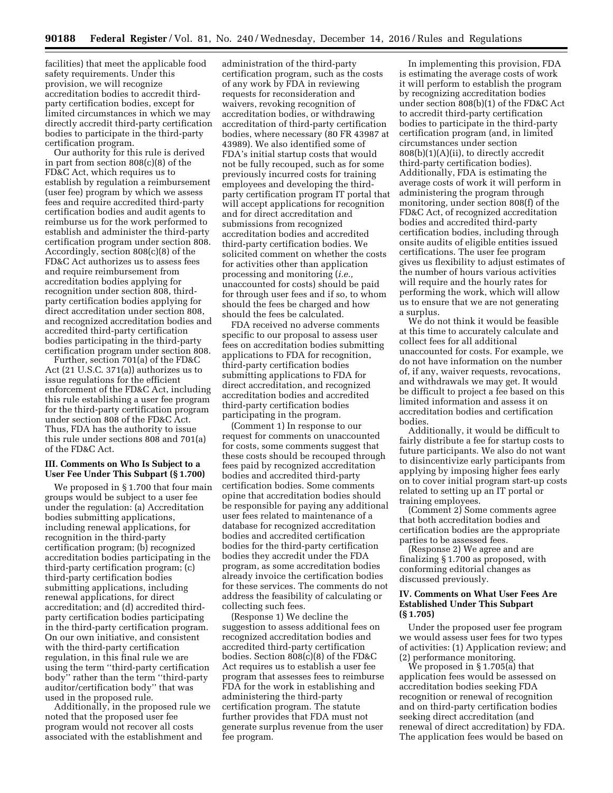facilities) that meet the applicable food safety requirements. Under this provision, we will recognize accreditation bodies to accredit thirdparty certification bodies, except for limited circumstances in which we may directly accredit third-party certification bodies to participate in the third-party certification program.

Our authority for this rule is derived in part from section 808(c)(8) of the FD&C Act, which requires us to establish by regulation a reimbursement (user fee) program by which we assess fees and require accredited third-party certification bodies and audit agents to reimburse us for the work performed to establish and administer the third-party certification program under section 808. Accordingly, section 808(c)(8) of the FD&C Act authorizes us to assess fees and require reimbursement from accreditation bodies applying for recognition under section 808, thirdparty certification bodies applying for direct accreditation under section 808, and recognized accreditation bodies and accredited third-party certification bodies participating in the third-party certification program under section 808.

Further, section 701(a) of the FD&C Act (21 U.S.C. 371(a)) authorizes us to issue regulations for the efficient enforcement of the FD&C Act, including this rule establishing a user fee program for the third-party certification program under section 808 of the FD&C Act. Thus, FDA has the authority to issue this rule under sections 808 and 701(a) of the FD&C Act.

# **III. Comments on Who Is Subject to a User Fee Under This Subpart (§ 1.700)**

We proposed in §1.700 that four main groups would be subject to a user fee under the regulation: (a) Accreditation bodies submitting applications, including renewal applications, for recognition in the third-party certification program; (b) recognized accreditation bodies participating in the third-party certification program; (c) third-party certification bodies submitting applications, including renewal applications, for direct accreditation; and (d) accredited thirdparty certification bodies participating in the third-party certification program. On our own initiative, and consistent with the third-party certification regulation, in this final rule we are using the term ''third-party certification body'' rather than the term ''third-party auditor/certification body'' that was used in the proposed rule.

Additionally, in the proposed rule we noted that the proposed user fee program would not recover all costs associated with the establishment and

administration of the third-party certification program, such as the costs of any work by FDA in reviewing requests for reconsideration and waivers, revoking recognition of accreditation bodies, or withdrawing accreditation of third-party certification bodies, where necessary (80 FR 43987 at 43989). We also identified some of FDA's initial startup costs that would not be fully recouped, such as for some previously incurred costs for training employees and developing the thirdparty certification program IT portal that will accept applications for recognition and for direct accreditation and submissions from recognized accreditation bodies and accredited third-party certification bodies. We solicited comment on whether the costs for activities other than application processing and monitoring (*i.e.,*  unaccounted for costs) should be paid for through user fees and if so, to whom should the fees be charged and how should the fees be calculated.

FDA received no adverse comments specific to our proposal to assess user fees on accreditation bodies submitting applications to FDA for recognition, third-party certification bodies submitting applications to FDA for direct accreditation, and recognized accreditation bodies and accredited third-party certification bodies participating in the program.

(Comment 1) In response to our request for comments on unaccounted for costs, some comments suggest that these costs should be recouped through fees paid by recognized accreditation bodies and accredited third-party certification bodies. Some comments opine that accreditation bodies should be responsible for paying any additional user fees related to maintenance of a database for recognized accreditation bodies and accredited certification bodies for the third-party certification bodies they accredit under the FDA program, as some accreditation bodies already invoice the certification bodies for these services. The comments do not address the feasibility of calculating or collecting such fees.

(Response 1) We decline the suggestion to assess additional fees on recognized accreditation bodies and accredited third-party certification bodies. Section 808(c)(8) of the FD&C Act requires us to establish a user fee program that assesses fees to reimburse FDA for the work in establishing and administering the third-party certification program. The statute further provides that FDA must not generate surplus revenue from the user fee program.

In implementing this provision, FDA is estimating the average costs of work it will perform to establish the program by recognizing accreditation bodies under section 808(b)(1) of the FD&C Act to accredit third-party certification bodies to participate in the third-party certification program (and, in limited circumstances under section  $808(b)(1)(A)(ii)$ , to directly accredit third-party certification bodies). Additionally, FDA is estimating the average costs of work it will perform in administering the program through monitoring, under section 808(f) of the FD&C Act, of recognized accreditation bodies and accredited third-party certification bodies, including through onsite audits of eligible entities issued certifications. The user fee program gives us flexibility to adjust estimates of the number of hours various activities will require and the hourly rates for performing the work, which will allow us to ensure that we are not generating a surplus.

We do not think it would be feasible at this time to accurately calculate and collect fees for all additional unaccounted for costs. For example, we do not have information on the number of, if any, waiver requests, revocations, and withdrawals we may get. It would be difficult to project a fee based on this limited information and assess it on accreditation bodies and certification bodies.

Additionally, it would be difficult to fairly distribute a fee for startup costs to future participants. We also do not want to disincentivize early participants from applying by imposing higher fees early on to cover initial program start-up costs related to setting up an IT portal or training employees.

(Comment 2) Some comments agree that both accreditation bodies and certification bodies are the appropriate parties to be assessed fees.

(Response 2) We agree and are finalizing § 1.700 as proposed, with conforming editorial changes as discussed previously.

### **IV. Comments on What User Fees Are Established Under This Subpart (§ 1.705)**

Under the proposed user fee program we would assess user fees for two types of activities: (1) Application review; and (2) performance monitoring.

We proposed in § 1.705(a) that application fees would be assessed on accreditation bodies seeking FDA recognition or renewal of recognition and on third-party certification bodies seeking direct accreditation (and renewal of direct accreditation) by FDA. The application fees would be based on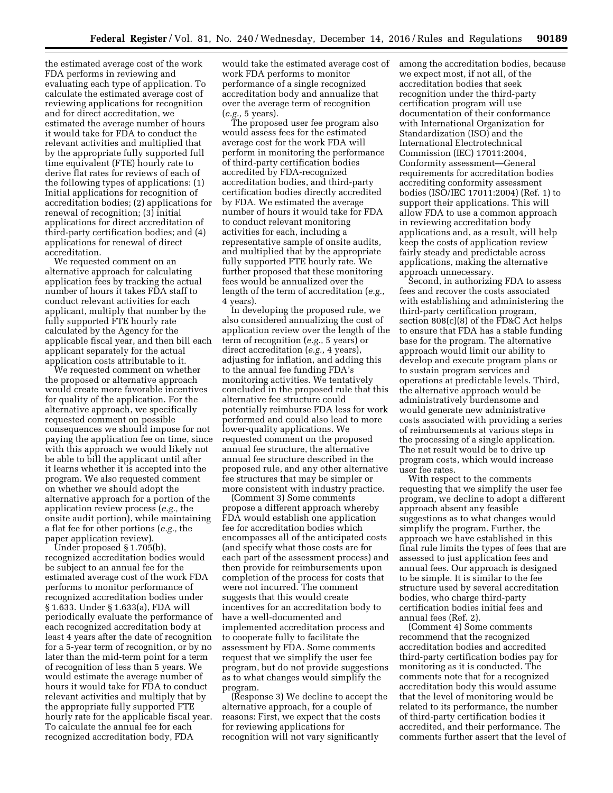the estimated average cost of the work FDA performs in reviewing and evaluating each type of application. To calculate the estimated average cost of reviewing applications for recognition and for direct accreditation, we estimated the average number of hours it would take for FDA to conduct the relevant activities and multiplied that by the appropriate fully supported full time equivalent (FTE) hourly rate to derive flat rates for reviews of each of the following types of applications: (1) Initial applications for recognition of accreditation bodies; (2) applications for renewal of recognition; (3) initial applications for direct accreditation of third-party certification bodies; and (4) applications for renewal of direct accreditation.

We requested comment on an alternative approach for calculating application fees by tracking the actual number of hours it takes FDA staff to conduct relevant activities for each applicant, multiply that number by the fully supported FTE hourly rate calculated by the Agency for the applicable fiscal year, and then bill each applicant separately for the actual application costs attributable to it.

We requested comment on whether the proposed or alternative approach would create more favorable incentives for quality of the application. For the alternative approach, we specifically requested comment on possible consequences we should impose for not paying the application fee on time, since with this approach we would likely not be able to bill the applicant until after it learns whether it is accepted into the program. We also requested comment on whether we should adopt the alternative approach for a portion of the application review process (*e.g.,* the onsite audit portion), while maintaining a flat fee for other portions (*e.g.,* the paper application review).

Under proposed § 1.705(b), recognized accreditation bodies would be subject to an annual fee for the estimated average cost of the work FDA performs to monitor performance of recognized accreditation bodies under § 1.633. Under § 1.633(a), FDA will periodically evaluate the performance of each recognized accreditation body at least 4 years after the date of recognition for a 5-year term of recognition, or by no later than the mid-term point for a term of recognition of less than 5 years. We would estimate the average number of hours it would take for FDA to conduct relevant activities and multiply that by the appropriate fully supported FTE hourly rate for the applicable fiscal year. To calculate the annual fee for each recognized accreditation body, FDA

would take the estimated average cost of work FDA performs to monitor performance of a single recognized accreditation body and annualize that over the average term of recognition (*e.g.,* 5 years).

The proposed user fee program also would assess fees for the estimated average cost for the work FDA will perform in monitoring the performance of third-party certification bodies accredited by FDA-recognized accreditation bodies, and third-party certification bodies directly accredited by FDA. We estimated the average number of hours it would take for FDA to conduct relevant monitoring activities for each, including a representative sample of onsite audits, and multiplied that by the appropriate fully supported FTE hourly rate. We further proposed that these monitoring fees would be annualized over the length of the term of accreditation (*e.g.,*  4 years).

In developing the proposed rule, we also considered annualizing the cost of application review over the length of the term of recognition (*e.g.,* 5 years) or direct accreditation (*e.g.,* 4 years), adjusting for inflation, and adding this to the annual fee funding FDA's monitoring activities. We tentatively concluded in the proposed rule that this alternative fee structure could potentially reimburse FDA less for work performed and could also lead to more lower-quality applications. We requested comment on the proposed annual fee structure, the alternative annual fee structure described in the proposed rule, and any other alternative fee structures that may be simpler or more consistent with industry practice.

(Comment 3) Some comments propose a different approach whereby FDA would establish one application fee for accreditation bodies which encompasses all of the anticipated costs (and specify what those costs are for each part of the assessment process) and then provide for reimbursements upon completion of the process for costs that were not incurred. The comment suggests that this would create incentives for an accreditation body to have a well-documented and implemented accreditation process and to cooperate fully to facilitate the assessment by FDA. Some comments request that we simplify the user fee program, but do not provide suggestions as to what changes would simplify the program.

(Response 3) We decline to accept the alternative approach, for a couple of reasons: First, we expect that the costs for reviewing applications for recognition will not vary significantly

among the accreditation bodies, because we expect most, if not all, of the accreditation bodies that seek recognition under the third-party certification program will use documentation of their conformance with International Organization for Standardization (ISO) and the International Electrotechnical Commission (IEC) 17011:2004, Conformity assessment—General requirements for accreditation bodies accrediting conformity assessment bodies (ISO/IEC 17011:2004) (Ref. 1) to support their applications. This will allow FDA to use a common approach in reviewing accreditation body applications and, as a result, will help keep the costs of application review fairly steady and predictable across applications, making the alternative approach unnecessary.

Second, in authorizing FDA to assess fees and recover the costs associated with establishing and administering the third-party certification program, section 808(c)(8) of the FD&C Act helps to ensure that FDA has a stable funding base for the program. The alternative approach would limit our ability to develop and execute program plans or to sustain program services and operations at predictable levels. Third, the alternative approach would be administratively burdensome and would generate new administrative costs associated with providing a series of reimbursements at various steps in the processing of a single application. The net result would be to drive up program costs, which would increase user fee rates.

With respect to the comments requesting that we simplify the user fee program, we decline to adopt a different approach absent any feasible suggestions as to what changes would simplify the program. Further, the approach we have established in this final rule limits the types of fees that are assessed to just application fees and annual fees. Our approach is designed to be simple. It is similar to the fee structure used by several accreditation bodies, who charge third-party certification bodies initial fees and annual fees (Ref. 2).

(Comment 4) Some comments recommend that the recognized accreditation bodies and accredited third-party certification bodies pay for monitoring as it is conducted. The comments note that for a recognized accreditation body this would assume that the level of monitoring would be related to its performance, the number of third-party certification bodies it accredited, and their performance. The comments further assert that the level of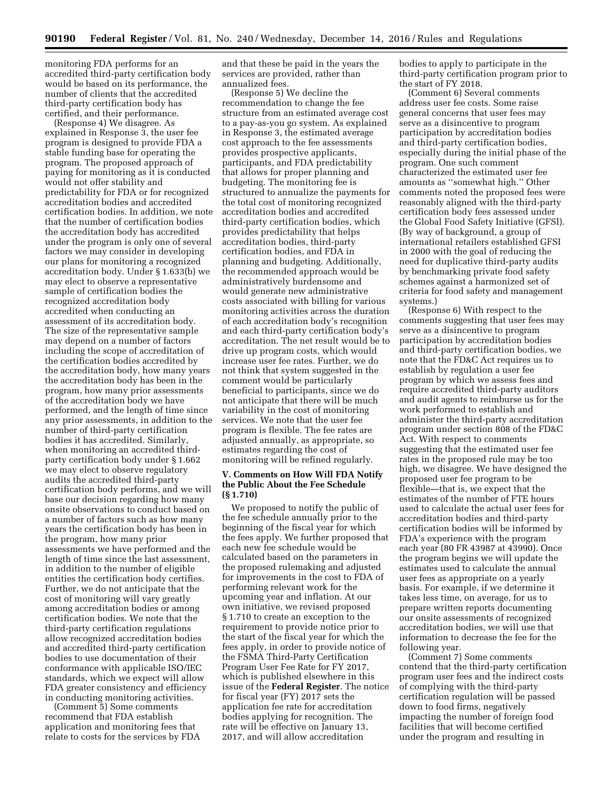monitoring FDA performs for an accredited third-party certification body would be based on its performance, the number of clients that the accredited third-party certification body has certified, and their performance.

(Response 4) We disagree. As explained in Response 3, the user fee program is designed to provide FDA a stable funding base for operating the program. The proposed approach of paying for monitoring as it is conducted would not offer stability and predictability for FDA or for recognized accreditation bodies and accredited certification bodies. In addition, we note that the number of certification bodies the accreditation body has accredited under the program is only one of several factors we may consider in developing our plans for monitoring a recognized accreditation body. Under § 1.633(b) we may elect to observe a representative sample of certification bodies the recognized accreditation body accredited when conducting an assessment of its accreditation body. The size of the representative sample may depend on a number of factors including the scope of accreditation of the certification bodies accredited by the accreditation body, how many years the accreditation body has been in the program, how many prior assessments of the accreditation body we have performed, and the length of time since any prior assessments, in addition to the number of third-party certification bodies it has accredited. Similarly, when monitoring an accredited thirdparty certification body under § 1.662 we may elect to observe regulatory audits the accredited third-party certification body performs, and we will base our decision regarding how many onsite observations to conduct based on a number of factors such as how many years the certification body has been in the program, how many prior assessments we have performed and the length of time since the last assessment, in addition to the number of eligible entities the certification body certifies. Further, we do not anticipate that the cost of monitoring will vary greatly among accreditation bodies or among certification bodies. We note that the third-party certification regulations allow recognized accreditation bodies and accredited third-party certification bodies to use documentation of their conformance with applicable ISO/IEC standards, which we expect will allow FDA greater consistency and efficiency in conducting monitoring activities.

(Comment 5) Some comments recommend that FDA establish application and monitoring fees that relate to costs for the services by FDA

and that these be paid in the years the services are provided, rather than annualized fees.

(Response 5) We decline the recommendation to change the fee structure from an estimated average cost to a pay-as-you go system. As explained in Response 3, the estimated average cost approach to the fee assessments provides prospective applicants, participants, and FDA predictability that allows for proper planning and budgeting. The monitoring fee is structured to annualize the payments for the total cost of monitoring recognized accreditation bodies and accredited third-party certification bodies, which provides predictability that helps accreditation bodies, third-party certification bodies, and FDA in planning and budgeting. Additionally, the recommended approach would be administratively burdensome and would generate new administrative costs associated with billing for various monitoring activities across the duration of each accreditation body's recognition and each third-party certification body's accreditation. The net result would be to drive up program costs, which would increase user fee rates. Further, we do not think that system suggested in the comment would be particularly beneficial to participants, since we do not anticipate that there will be much variability in the cost of monitoring services. We note that the user fee program is flexible. The fee rates are adjusted annually, as appropriate, so estimates regarding the cost of monitoring will be refined regularly.

## **V. Comments on How Will FDA Notify the Public About the Fee Schedule (§ 1.710)**

We proposed to notify the public of the fee schedule annually prior to the beginning of the fiscal year for which the fees apply. We further proposed that each new fee schedule would be calculated based on the parameters in the proposed rulemaking and adjusted for improvements in the cost to FDA of performing relevant work for the upcoming year and inflation. At our own initiative, we revised proposed § 1.710 to create an exception to the requirement to provide notice prior to the start of the fiscal year for which the fees apply, in order to provide notice of the FSMA Third-Party Certification Program User Fee Rate for FY 2017, which is published elsewhere in this issue of the **Federal Register**. The notice for fiscal year (FY) 2017 sets the application fee rate for accreditation bodies applying for recognition. The rate will be effective on January 13, 2017, and will allow accreditation

bodies to apply to participate in the third-party certification program prior to the start of FY 2018.

(Comment 6) Several comments address user fee costs. Some raise general concerns that user fees may serve as a disincentive to program participation by accreditation bodies and third-party certification bodies, especially during the initial phase of the program. One such comment characterized the estimated user fee amounts as ''somewhat high.'' Other comments noted the proposed fees were reasonably aligned with the third-party certification body fees assessed under the Global Food Safety Initiative (GFSI). (By way of background, a group of international retailers established GFSI in 2000 with the goal of reducing the need for duplicative third-party audits by benchmarking private food safety schemes against a harmonized set of criteria for food safety and management systems.)

(Response 6) With respect to the comments suggesting that user fees may serve as a disincentive to program participation by accreditation bodies and third-party certification bodies, we note that the FD&C Act requires us to establish by regulation a user fee program by which we assess fees and require accredited third-party auditors and audit agents to reimburse us for the work performed to establish and administer the third-party accreditation program under section 808 of the FD&C Act. With respect to comments suggesting that the estimated user fee rates in the proposed rule may be too high, we disagree. We have designed the proposed user fee program to be flexible—that is, we expect that the estimates of the number of FTE hours used to calculate the actual user fees for accreditation bodies and third-party certification bodies will be informed by FDA's experience with the program each year (80 FR 43987 at 43990). Once the program begins we will update the estimates used to calculate the annual user fees as appropriate on a yearly basis. For example, if we determine it takes less time, on average, for us to prepare written reports documenting our onsite assessments of recognized accreditation bodies, we will use that information to decrease the fee for the following year.

(Comment 7) Some comments contend that the third-party certification program user fees and the indirect costs of complying with the third-party certification regulation will be passed down to food firms, negatively impacting the number of foreign food facilities that will become certified under the program and resulting in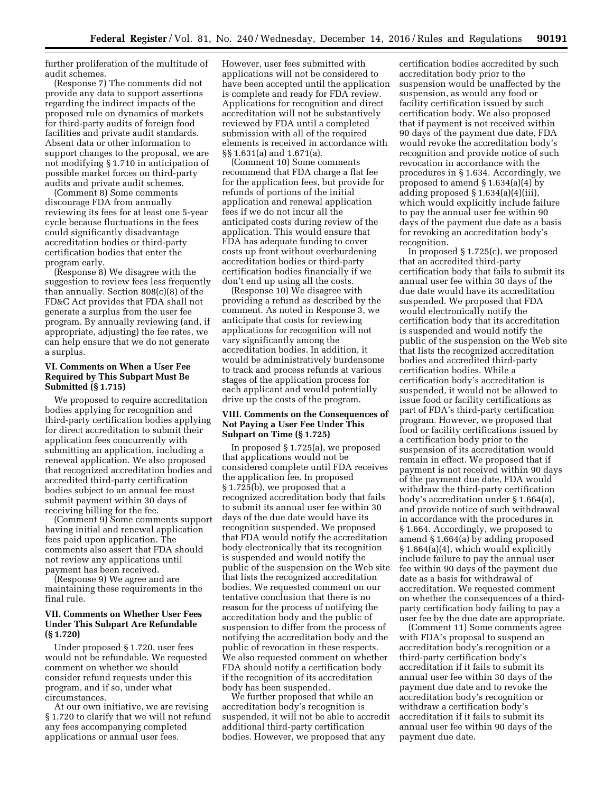further proliferation of the multitude of audit schemes.

(Response 7) The comments did not provide any data to support assertions regarding the indirect impacts of the proposed rule on dynamics of markets for third-party audits of foreign food facilities and private audit standards. Absent data or other information to support changes to the proposal, we are not modifying § 1.710 in anticipation of possible market forces on third-party audits and private audit schemes.

(Comment 8) Some comments discourage FDA from annually reviewing its fees for at least one 5-year cycle because fluctuations in the fees could significantly disadvantage accreditation bodies or third-party certification bodies that enter the program early.

(Response 8) We disagree with the suggestion to review fees less frequently than annually. Section 808(c)(8) of the FD&C Act provides that FDA shall not generate a surplus from the user fee program. By annually reviewing (and, if appropriate, adjusting) the fee rates, we can help ensure that we do not generate a surplus.

## **VI. Comments on When a User Fee Required by This Subpart Must Be Submitted (§ 1.715)**

We proposed to require accreditation bodies applying for recognition and third-party certification bodies applying for direct accreditation to submit their application fees concurrently with submitting an application, including a renewal application. We also proposed that recognized accreditation bodies and accredited third-party certification bodies subject to an annual fee must submit payment within 30 days of receiving billing for the fee.

(Comment 9) Some comments support having initial and renewal application fees paid upon application. The comments also assert that FDA should not review any applications until payment has been received.

(Response 9) We agree and are maintaining these requirements in the final rule.

### **VII. Comments on Whether User Fees Under This Subpart Are Refundable (§ 1.720)**

Under proposed § 1.720, user fees would not be refundable. We requested comment on whether we should consider refund requests under this program, and if so, under what circumstances.

At our own initiative, we are revising § 1.720 to clarify that we will not refund any fees accompanying completed applications or annual user fees.

However, user fees submitted with applications will not be considered to have been accepted until the application is complete and ready for FDA review. Applications for recognition and direct accreditation will not be substantively reviewed by FDA until a completed submission with all of the required elements is received in accordance with §§ 1.631(a) and 1.671(a).

(Comment 10) Some comments recommend that FDA charge a flat fee for the application fees, but provide for refunds of portions of the initial application and renewal application fees if we do not incur all the anticipated costs during review of the application. This would ensure that FDA has adequate funding to cover costs up front without overburdening accreditation bodies or third-party certification bodies financially if we don't end up using all the costs.

(Response 10) We disagree with providing a refund as described by the comment. As noted in Response 3, we anticipate that costs for reviewing applications for recognition will not vary significantly among the accreditation bodies. In addition, it would be administratively burdensome to track and process refunds at various stages of the application process for each applicant and would potentially drive up the costs of the program.

### **VIII. Comments on the Consequences of Not Paying a User Fee Under This Subpart on Time (§ 1.725)**

In proposed § 1.725(a), we proposed that applications would not be considered complete until FDA receives the application fee. In proposed § 1.725(b), we proposed that a recognized accreditation body that fails to submit its annual user fee within 30 days of the due date would have its recognition suspended. We proposed that FDA would notify the accreditation body electronically that its recognition is suspended and would notify the public of the suspension on the Web site that lists the recognized accreditation bodies. We requested comment on our tentative conclusion that there is no reason for the process of notifying the accreditation body and the public of suspension to differ from the process of notifying the accreditation body and the public of revocation in these respects. We also requested comment on whether FDA should notify a certification body if the recognition of its accreditation body has been suspended.

We further proposed that while an accreditation body's recognition is suspended, it will not be able to accredit additional third-party certification bodies. However, we proposed that any

certification bodies accredited by such accreditation body prior to the suspension would be unaffected by the suspension, as would any food or facility certification issued by such certification body. We also proposed that if payment is not received within 90 days of the payment due date, FDA would revoke the accreditation body's recognition and provide notice of such revocation in accordance with the procedures in § 1.634. Accordingly, we proposed to amend § 1.634(a)(4) by adding proposed  $\S 1.634(a)(4)(iii)$ , which would explicitly include failure to pay the annual user fee within 90 days of the payment due date as a basis for revoking an accreditation body's recognition.

In proposed § 1.725(c), we proposed that an accredited third-party certification body that fails to submit its annual user fee within 30 days of the due date would have its accreditation suspended. We proposed that FDA would electronically notify the certification body that its accreditation is suspended and would notify the public of the suspension on the Web site that lists the recognized accreditation bodies and accredited third-party certification bodies. While a certification body's accreditation is suspended, it would not be allowed to issue food or facility certifications as part of FDA's third-party certification program. However, we proposed that food or facility certifications issued by a certification body prior to the suspension of its accreditation would remain in effect. We proposed that if payment is not received within 90 days of the payment due date, FDA would withdraw the third-party certification body's accreditation under § 1.664(a), and provide notice of such withdrawal in accordance with the procedures in § 1.664. Accordingly, we proposed to amend § 1.664(a) by adding proposed § 1.664(a)(4), which would explicitly include failure to pay the annual user fee within 90 days of the payment due date as a basis for withdrawal of accreditation. We requested comment on whether the consequences of a thirdparty certification body failing to pay a user fee by the due date are appropriate.

(Comment 11) Some comments agree with FDA's proposal to suspend an accreditation body's recognition or a third-party certification body's accreditation if it fails to submit its annual user fee within 30 days of the payment due date and to revoke the accreditation body's recognition or withdraw a certification body's accreditation if it fails to submit its annual user fee within 90 days of the payment due date.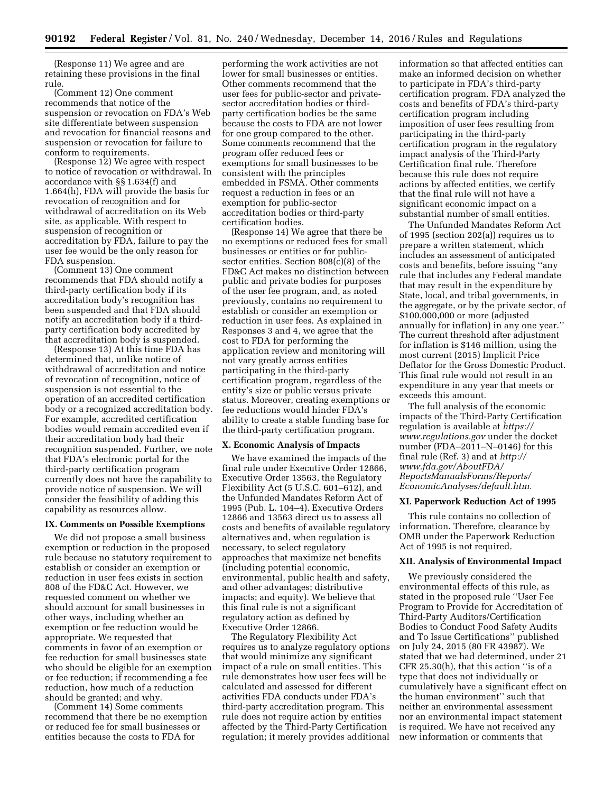(Response 11) We agree and are retaining these provisions in the final rule.

(Comment 12) One comment recommends that notice of the suspension or revocation on FDA's Web site differentiate between suspension and revocation for financial reasons and suspension or revocation for failure to conform to requirements.

(Response 12) We agree with respect to notice of revocation or withdrawal. In accordance with §§ 1.634(f) and 1.664(h), FDA will provide the basis for revocation of recognition and for withdrawal of accreditation on its Web site, as applicable. With respect to suspension of recognition or accreditation by FDA, failure to pay the user fee would be the only reason for FDA suspension.

(Comment 13) One comment recommends that FDA should notify a third-party certification body if its accreditation body's recognition has been suspended and that FDA should notify an accreditation body if a thirdparty certification body accredited by that accreditation body is suspended.

(Response 13) At this time FDA has determined that, unlike notice of withdrawal of accreditation and notice of revocation of recognition, notice of suspension is not essential to the operation of an accredited certification body or a recognized accreditation body. For example, accredited certification bodies would remain accredited even if their accreditation body had their recognition suspended. Further, we note that FDA's electronic portal for the third-party certification program currently does not have the capability to provide notice of suspension. We will consider the feasibility of adding this capability as resources allow.

### **IX. Comments on Possible Exemptions**

We did not propose a small business exemption or reduction in the proposed rule because no statutory requirement to establish or consider an exemption or reduction in user fees exists in section 808 of the FD&C Act. However, we requested comment on whether we should account for small businesses in other ways, including whether an exemption or fee reduction would be appropriate. We requested that comments in favor of an exemption or fee reduction for small businesses state who should be eligible for an exemption or fee reduction; if recommending a fee reduction, how much of a reduction should be granted; and why.

(Comment 14) Some comments recommend that there be no exemption or reduced fee for small businesses or entities because the costs to FDA for

performing the work activities are not lower for small businesses or entities. Other comments recommend that the user fees for public-sector and privatesector accreditation bodies or thirdparty certification bodies be the same because the costs to FDA are not lower for one group compared to the other. Some comments recommend that the program offer reduced fees or exemptions for small businesses to be consistent with the principles embedded in FSMA. Other comments request a reduction in fees or an exemption for public-sector accreditation bodies or third-party certification bodies.

(Response 14) We agree that there be no exemptions or reduced fees for small businesses or entities or for publicsector entities. Section 808(c)(8) of the FD&C Act makes no distinction between public and private bodies for purposes of the user fee program, and, as noted previously, contains no requirement to establish or consider an exemption or reduction in user fees. As explained in Responses 3 and 4, we agree that the cost to FDA for performing the application review and monitoring will not vary greatly across entities participating in the third-party certification program, regardless of the entity's size or public versus private status. Moreover, creating exemptions or fee reductions would hinder FDA's ability to create a stable funding base for the third-party certification program.

#### **X. Economic Analysis of Impacts**

We have examined the impacts of the final rule under Executive Order 12866, Executive Order 13563, the Regulatory Flexibility Act (5 U.S.C. 601–612), and the Unfunded Mandates Reform Act of 1995 (Pub. L. 104–4). Executive Orders 12866 and 13563 direct us to assess all costs and benefits of available regulatory alternatives and, when regulation is necessary, to select regulatory approaches that maximize net benefits (including potential economic, environmental, public health and safety, and other advantages; distributive impacts; and equity). We believe that this final rule is not a significant regulatory action as defined by Executive Order 12866.

The Regulatory Flexibility Act requires us to analyze regulatory options that would minimize any significant impact of a rule on small entities. This rule demonstrates how user fees will be calculated and assessed for different activities FDA conducts under FDA's third-party accreditation program. This rule does not require action by entities affected by the Third-Party Certification regulation; it merely provides additional

information so that affected entities can make an informed decision on whether to participate in FDA's third-party certification program. FDA analyzed the costs and benefits of FDA's third-party certification program including imposition of user fees resulting from participating in the third-party certification program in the regulatory impact analysis of the Third-Party Certification final rule. Therefore because this rule does not require actions by affected entities, we certify that the final rule will not have a significant economic impact on a substantial number of small entities.

The Unfunded Mandates Reform Act of 1995 (section 202(a)) requires us to prepare a written statement, which includes an assessment of anticipated costs and benefits, before issuing ''any rule that includes any Federal mandate that may result in the expenditure by State, local, and tribal governments, in the aggregate, or by the private sector, of \$100,000,000 or more (adjusted annually for inflation) in any one year.'' The current threshold after adjustment for inflation is \$146 million, using the most current (2015) Implicit Price Deflator for the Gross Domestic Product. This final rule would not result in an expenditure in any year that meets or exceeds this amount.

The full analysis of the economic impacts of the Third-Party Certification regulation is available at *[https://](https://www.regulations.gov)  [www.regulations.gov](https://www.regulations.gov)* under the docket number (FDA–2011–N–0146) for this final rule (Ref. 3) and at *[http://](http://www.fda.gov/AboutFDA/ReportsManualsForms/Reports/EconomicAnalyses/default.htm)  [www.fda.gov/AboutFDA/](http://www.fda.gov/AboutFDA/ReportsManualsForms/Reports/EconomicAnalyses/default.htm) [ReportsManualsForms/Reports/](http://www.fda.gov/AboutFDA/ReportsManualsForms/Reports/EconomicAnalyses/default.htm)  [EconomicAnalyses/default.htm.](http://www.fda.gov/AboutFDA/ReportsManualsForms/Reports/EconomicAnalyses/default.htm)* 

#### **XI. Paperwork Reduction Act of 1995**

This rule contains no collection of information. Therefore, clearance by OMB under the Paperwork Reduction Act of 1995 is not required.

#### **XII. Analysis of Environmental Impact**

We previously considered the environmental effects of this rule, as stated in the proposed rule ''User Fee Program to Provide for Accreditation of Third-Party Auditors/Certification Bodies to Conduct Food Safety Audits and To Issue Certifications'' published on July 24, 2015 (80 FR 43987). We stated that we had determined, under 21 CFR 25.30(h), that this action ''is of a type that does not individually or cumulatively have a significant effect on the human environment'' such that neither an environmental assessment nor an environmental impact statement is required. We have not received any new information or comments that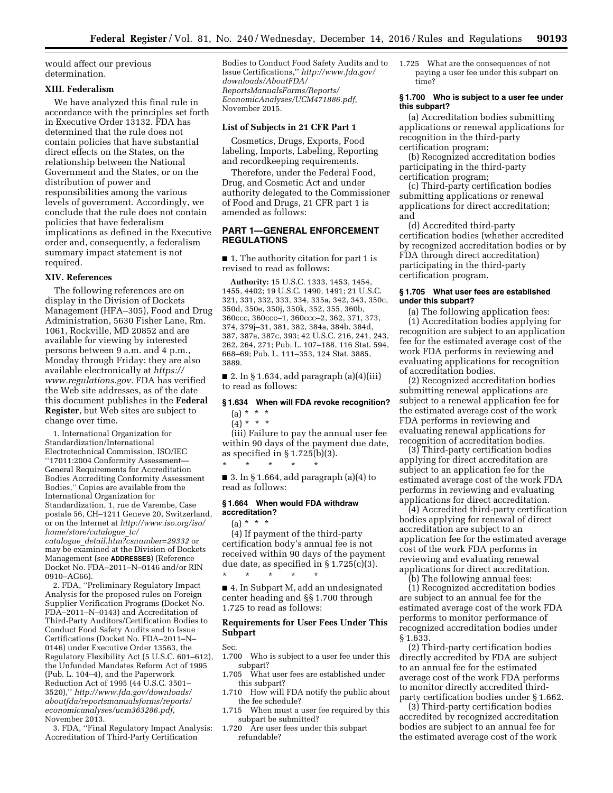would affect our previous determination.

### **XIII. Federalism**

We have analyzed this final rule in accordance with the principles set forth in Executive Order 13132. FDA has determined that the rule does not contain policies that have substantial direct effects on the States, on the relationship between the National Government and the States, or on the distribution of power and responsibilities among the various levels of government. Accordingly, we conclude that the rule does not contain policies that have federalism implications as defined in the Executive order and, consequently, a federalism summary impact statement is not required.

#### **XIV. References**

The following references are on display in the Division of Dockets Management (HFA–305), Food and Drug Administration, 5630 Fisher Lane, Rm. 1061, Rockville, MD 20852 and are available for viewing by interested persons between 9 a.m. and 4 p.m., Monday through Friday; they are also available electronically at *[https://](https://www.regulations.gov)  [www.regulations.gov.](https://www.regulations.gov)* FDA has verified the Web site addresses, as of the date this document publishes in the **Federal Register**, but Web sites are subject to change over time.

1. International Organization for Standardization/International Electrotechnical Commission, ISO/IEC ''17011:2004 Conformity Assessment— General Requirements for Accreditation Bodies Accrediting Conformity Assessment Bodies,'' Copies are available from the International Organization for Standardization, 1, rue de Varembe, Case postale 56, CH–1211 Geneve 20, Switzerland, or on the Internet at *[http://www.iso.org/iso/](http://www.iso.org/iso/home/store/catalogue_tc/catalogue_detail.htm?csnumber=29332) [home/store/catalogue](http://www.iso.org/iso/home/store/catalogue_tc/catalogue_detail.htm?csnumber=29332)*\_*tc/ catalogue*\_*[detail.htm?csnumber=29332](http://www.iso.org/iso/home/store/catalogue_tc/catalogue_detail.htm?csnumber=29332)* or

may be examined at the Division of Dockets Management (see **ADDRESSES**) (Reference Docket No. FDA–2011–N–0146 and/or RIN 0910–AG66).

2. FDA, ''Preliminary Regulatory Impact Analysis for the proposed rules on Foreign Supplier Verification Programs (Docket No. FDA–2011–N–0143) and Accreditation of Third-Party Auditors/Certification Bodies to Conduct Food Safety Audits and to Issue Certifications (Docket No. FDA–2011–N– 0146) under Executive Order 13563, the Regulatory Flexibility Act (5 U.S.C. 601–612), the Unfunded Mandates Reform Act of 1995 (Pub. L. 104–4), and the Paperwork Reduction Act of 1995 (44 U.S.C. 3501– 3520),'' *[http://www.fda.gov/downloads/](http://www.fda.gov/downloads/aboutfda/reportsmanualsforms/reports/economicanalyses/ucm363286.pdf)  [aboutfda/reportsmanualsforms/reports/](http://www.fda.gov/downloads/aboutfda/reportsmanualsforms/reports/economicanalyses/ucm363286.pdf)  [economicanalyses/ucm363286.pdf,](http://www.fda.gov/downloads/aboutfda/reportsmanualsforms/reports/economicanalyses/ucm363286.pdf)*  November 2013.

3. FDA, ''Final Regulatory Impact Analysis: Accreditation of Third-Party Certification

Bodies to Conduct Food Safety Audits and to Issue Certifications,'' *[http://www.fda.gov/](http://www.fda.gov/downloads/AboutFDA/ReportsManualsForms/Reports/EconomicAnalyses/UCM471886.pdf)  [downloads/AboutFDA/](http://www.fda.gov/downloads/AboutFDA/ReportsManualsForms/Reports/EconomicAnalyses/UCM471886.pdf) [ReportsManualsForms/Reports/](http://www.fda.gov/downloads/AboutFDA/ReportsManualsForms/Reports/EconomicAnalyses/UCM471886.pdf) [EconomicAnalyses/UCM471886.pdf,](http://www.fda.gov/downloads/AboutFDA/ReportsManualsForms/Reports/EconomicAnalyses/UCM471886.pdf)*  November 2015.

### **List of Subjects in 21 CFR Part 1**

Cosmetics, Drugs, Exports, Food labeling, Imports, Labeling, Reporting and recordkeeping requirements.

Therefore, under the Federal Food, Drug, and Cosmetic Act and under authority delegated to the Commissioner of Food and Drugs, 21 CFR part 1 is amended as follows:

## **PART 1—GENERAL ENFORCEMENT REGULATIONS**

■ 1. The authority citation for part 1 is revised to read as follows:

**Authority:** 15 U.S.C. 1333, 1453, 1454, 1455, 4402; 19 U.S.C. 1490, 1491; 21 U.S.C. 321, 331, 332, 333, 334, 335a, 342, 343, 350c, 350d, 350e, 350j, 350k, 352, 355, 360b, 360ccc, 360ccc–1, 360ccc–2, 362, 371, 373, 374, 379j–31, 381, 382, 384a, 384b, 384d, 387, 387a, 387c, 393; 42 U.S.C. 216, 241, 243, 262, 264, 271; Pub. L. 107–188, 116 Stat. 594, 668–69; Pub. L. 111–353, 124 Stat. 3885, 3889.

■ 2. In § 1.634, add paragraph (a)(4)(iii) to read as follows:

## **§ 1.634 When will FDA revoke recognition?**   $(a) * * * *$

# $(4) * * * *$

(iii) Failure to pay the annual user fee within 90 days of the payment due date, as specified in § 1.725(b)(3).

■ 3. In § 1.664, add paragraph  $(a)(4)$  to read as follows:

## **§ 1.664 When would FDA withdraw accreditation?**

\* \* \* \* \*

 $(a) * * * *$ (4) If payment of the third-party certification body's annual fee is not

received within 90 days of the payment due date, as specified in  $\S 1.725(c)(3)$ . \* \* \* \* \*

■ 4. In Subpart M, add an undesignated center heading and §§ 1.700 through 1.725 to read as follows:

## **Requirements for User Fees Under This Subpart**

- Sec.<br>1.700 Who is subject to a user fee under this subpart?
- 1.705 What user fees are established under this subpart?
- 1.710 How will FDA notify the public about the fee schedule?
- 1.715 When must a user fee required by this subpart be submitted?
- 1.720 Are user fees under this subpart refundable?

1.725 What are the consequences of not paying a user fee under this subpart on time?

#### **§ 1.700 Who is subject to a user fee under this subpart?**

(a) Accreditation bodies submitting applications or renewal applications for recognition in the third-party certification program;

(b) Recognized accreditation bodies participating in the third-party certification program;

(c) Third-party certification bodies submitting applications or renewal applications for direct accreditation; and

(d) Accredited third-party certification bodies (whether accredited by recognized accreditation bodies or by FDA through direct accreditation) participating in the third-party certification program.

# **§ 1.705 What user fees are established under this subpart?**

(a) The following application fees: (1) Accreditation bodies applying for recognition are subject to an application fee for the estimated average cost of the work FDA performs in reviewing and evaluating applications for recognition of accreditation bodies.

(2) Recognized accreditation bodies submitting renewal applications are subject to a renewal application fee for the estimated average cost of the work FDA performs in reviewing and evaluating renewal applications for recognition of accreditation bodies.

(3) Third-party certification bodies applying for direct accreditation are subject to an application fee for the estimated average cost of the work FDA performs in reviewing and evaluating applications for direct accreditation.

(4) Accredited third-party certification bodies applying for renewal of direct accreditation are subject to an application fee for the estimated average cost of the work FDA performs in reviewing and evaluating renewal applications for direct accreditation.

(b) The following annual fees: (1) Recognized accreditation bodies are subject to an annual fee for the estimated average cost of the work FDA performs to monitor performance of recognized accreditation bodies under § 1.633.

(2) Third-party certification bodies directly accredited by FDA are subject to an annual fee for the estimated average cost of the work FDA performs to monitor directly accredited thirdparty certification bodies under § 1.662.

(3) Third-party certification bodies accredited by recognized accreditation bodies are subject to an annual fee for the estimated average cost of the work